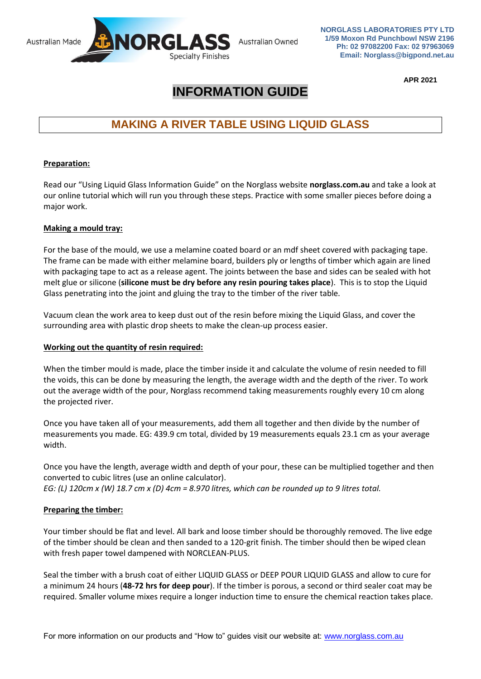

**NORGLASS LABORATORIES PTY LTD 1/59 Moxon Rd Punchbowl NSW 2196 Ph: 02 97082200 Fax: 02 97963069 Email: Norglass@bigpond.net.au**

**APR 2021**

# **INFORMATION GUIDE**

# **MAKING A RIVER TABLE USING LIQUID GLASS**

# **Preparation:**

Read our "Using Liquid Glass Information Guide" on the Norglass website **norglass.com.au** and take a look at our online tutorial which will run you through these steps. Practice with some smaller pieces before doing a major work.

## **Making a mould tray:**

For the base of the mould, we use a melamine coated board or an mdf sheet covered with packaging tape. The frame can be made with either melamine board, builders ply or lengths of timber which again are lined with packaging tape to act as a release agent. The joints between the base and sides can be sealed with hot melt glue or silicone (**silicone must be dry before any resin pouring takes place**). This is to stop the Liquid Glass penetrating into the joint and gluing the tray to the timber of the river table.

Vacuum clean the work area to keep dust out of the resin before mixing the Liquid Glass, and cover the surrounding area with plastic drop sheets to make the clean-up process easier.

## **Working out the quantity of resin required:**

When the timber mould is made, place the timber inside it and calculate the volume of resin needed to fill the voids, this can be done by measuring the length, the average width and the depth of the river. To work out the average width of the pour, Norglass recommend taking measurements roughly every 10 cm along the projected river.

Once you have taken all of your measurements, add them all together and then divide by the number of measurements you made. EG: 439.9 cm total, divided by 19 measurements equals 23.1 cm as your average width.

Once you have the length, average width and depth of your pour, these can be multiplied together and then converted to cubic litres (use an online calculator).

*EG: (L) 120cm x (W) 18.7 cm x (D) 4cm = 8.970 litres, which can be rounded up to 9 litres total.*

## **Preparing the timber:**

Your timber should be flat and level. All bark and loose timber should be thoroughly removed. The live edge of the timber should be clean and then sanded to a 120-grit finish. The timber should then be wiped clean with fresh paper towel dampened with NORCLEAN-PLUS.

Seal the timber with a brush coat of either LIQUID GLASS or DEEP POUR LIQUID GLASS and allow to cure for a minimum 24 hours (**48-72 hrs for deep pour**). If the timber is porous, a second or third sealer coat may be required. Smaller volume mixes require a longer induction time to ensure the chemical reaction takes place.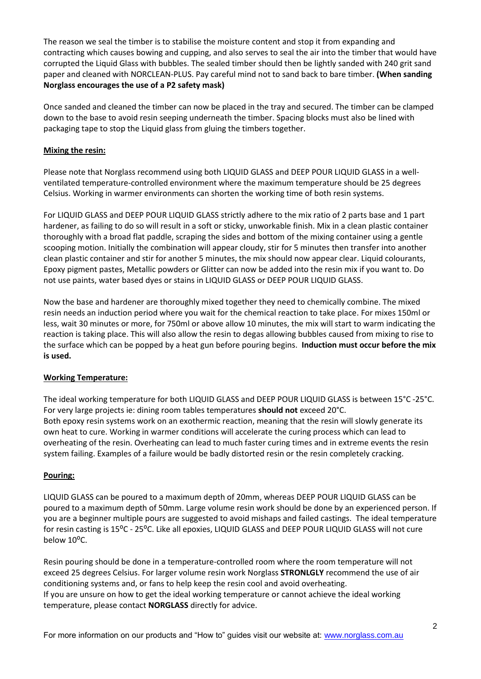The reason we seal the timber is to stabilise the moisture content and stop it from expanding and contracting which causes bowing and cupping, and also serves to seal the air into the timber that would have corrupted the Liquid Glass with bubbles. The sealed timber should then be lightly sanded with 240 grit sand paper and cleaned with NORCLEAN-PLUS. Pay careful mind not to sand back to bare timber. **(When sanding Norglass encourages the use of a P2 safety mask)**

Once sanded and cleaned the timber can now be placed in the tray and secured. The timber can be clamped down to the base to avoid resin seeping underneath the timber. Spacing blocks must also be lined with packaging tape to stop the Liquid glass from gluing the timbers together.

## **Mixing the resin:**

Please note that Norglass recommend using both LIQUID GLASS and DEEP POUR LIQUID GLASS in a wellventilated temperature-controlled environment where the maximum temperature should be 25 degrees Celsius. Working in warmer environments can shorten the working time of both resin systems.

For LIQUID GLASS and DEEP POUR LIQUID GLASS strictly adhere to the mix ratio of 2 parts base and 1 part hardener, as failing to do so will result in a soft or sticky, unworkable finish. Mix in a clean plastic container thoroughly with a broad flat paddle, scraping the sides and bottom of the mixing container using a gentle scooping motion. Initially the combination will appear cloudy, stir for 5 minutes then transfer into another clean plastic container and stir for another 5 minutes, the mix should now appear clear. Liquid colourants, Epoxy pigment pastes, Metallic powders or Glitter can now be added into the resin mix if you want to. Do not use paints, water based dyes or stains in LIQUID GLASS or DEEP POUR LIQUID GLASS.

Now the base and hardener are thoroughly mixed together they need to chemically combine. The mixed resin needs an induction period where you wait for the chemical reaction to take place. For mixes 150ml or less, wait 30 minutes or more, for 750ml or above allow 10 minutes, the mix will start to warm indicating the reaction is taking place. This will also allow the resin to degas allowing bubbles caused from mixing to rise to the surface which can be popped by a heat gun before pouring begins. **Induction must occur before the mix is used.**

#### **Working Temperature:**

The ideal working temperature for both LIQUID GLASS and DEEP POUR LIQUID GLASS is between 15°C -25°C. For very large projects ie: dining room tables temperatures **should not** exceed 20°C. Both epoxy resin systems work on an exothermic reaction, meaning that the resin will slowly generate its own heat to cure. Working in warmer conditions will accelerate the curing process which can lead to overheating of the resin. Overheating can lead to much faster curing times and in extreme events the resin system failing. Examples of a failure would be badly distorted resin or the resin completely cracking.

## **Pouring:**

LIQUID GLASS can be poured to a maximum depth of 20mm, whereas DEEP POUR LIQUID GLASS can be poured to a maximum depth of 50mm. Large volume resin work should be done by an experienced person. If you are a beginner multiple pours are suggested to avoid mishaps and failed castings. The ideal temperature for resin casting is 15<sup>o</sup>C - 25<sup>o</sup>C. Like all epoxies, LIQUID GLASS and DEEP POUR LIQUID GLASS will not cure below 10°C.

Resin pouring should be done in a temperature-controlled room where the room temperature will not exceed 25 degrees Celsius. For larger volume resin work Norglass **STRONLGLY** recommend the use of air conditioning systems and, or fans to help keep the resin cool and avoid overheating. If you are unsure on how to get the ideal working temperature or cannot achieve the ideal working temperature, please contact **NORGLASS** directly for advice.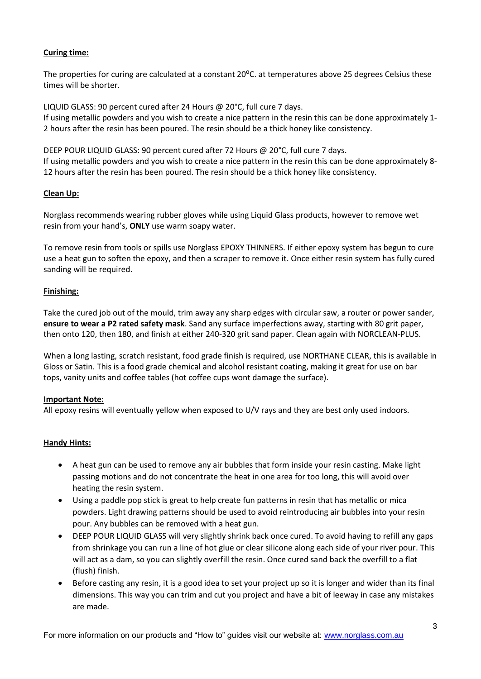## **Curing time:**

The properties for curing are calculated at a constant 20°C. at temperatures above 25 degrees Celsius these times will be shorter.

LIQUID GLASS: 90 percent cured after 24 Hours @ 20°C, full cure 7 days. If using metallic powders and you wish to create a nice pattern in the resin this can be done approximately 1- 2 hours after the resin has been poured. The resin should be a thick honey like consistency.

DEEP POUR LIQUID GLASS: 90 percent cured after 72 Hours @ 20°C, full cure 7 days. If using metallic powders and you wish to create a nice pattern in the resin this can be done approximately 8- 12 hours after the resin has been poured. The resin should be a thick honey like consistency.

### **Clean Up:**

Norglass recommends wearing rubber gloves while using Liquid Glass products, however to remove wet resin from your hand's, **ONLY** use warm soapy water.

To remove resin from tools or spills use Norglass EPOXY THINNERS. If either epoxy system has begun to cure use a heat gun to soften the epoxy, and then a scraper to remove it. Once either resin system has fully cured sanding will be required.

#### **Finishing:**

Take the cured job out of the mould, trim away any sharp edges with circular saw, a router or power sander, **ensure to wear a P2 rated safety mask**. Sand any surface imperfections away, starting with 80 grit paper, then onto 120, then 180, and finish at either 240-320 grit sand paper. Clean again with NORCLEAN-PLUS.

When a long lasting, scratch resistant, food grade finish is required, use NORTHANE CLEAR, this is available in Gloss or Satin. This is a food grade chemical and alcohol resistant coating, making it great for use on bar tops, vanity units and coffee tables (hot coffee cups wont damage the surface).

#### **Important Note:**

All epoxy resins will eventually yellow when exposed to U/V rays and they are best only used indoors.

#### **Handy Hints:**

- A heat gun can be used to remove any air bubbles that form inside your resin casting. Make light passing motions and do not concentrate the heat in one area for too long, this will avoid over heating the resin system.
- Using a paddle pop stick is great to help create fun patterns in resin that has metallic or mica powders. Light drawing patterns should be used to avoid reintroducing air bubbles into your resin pour. Any bubbles can be removed with a heat gun.
- DEEP POUR LIQUID GLASS will very slightly shrink back once cured. To avoid having to refill any gaps from shrinkage you can run a line of hot glue or clear silicone along each side of your river pour. This will act as a dam, so you can slightly overfill the resin. Once cured sand back the overfill to a flat (flush) finish.
- Before casting any resin, it is a good idea to set your project up so it is longer and wider than its final dimensions. This way you can trim and cut you project and have a bit of leeway in case any mistakes are made.